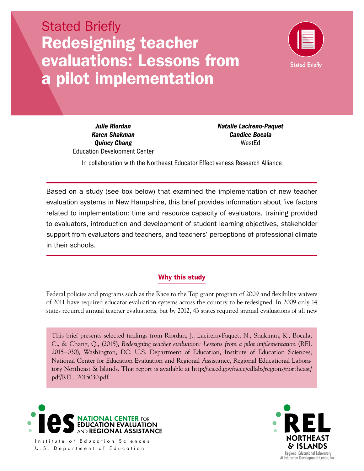# Stated Briefly Redesigning teacher evaluations: Lessons from a pilot implementation



*Karen Shakman Candice Bocala*  **Quincy Chang WestEd** Education Development Center

*Julie Riordan* Matalie Lacireno-Paquet *Natalie Lacireno-Paquet* 

In collaboration with the Northeast Educator Effectiveness Research Alliance

Based on a study (see box below) that examined the implementation of new teacher evaluation systems in New Hampshire, this brief provides information about five factors related to implementation: time and resource capacity of evaluators, training provided to evaluators, introduction and development of student learning objectives, stakeholder support from evaluators and teachers, and teachers' perceptions of professional climate in their schools.

## Why this study

Federal policies and programs such as the Race to the Top grant program of 2009 and flexibility waivers of 2011 have required educator evaluation systems across the country to be redesigned. In 2009 only 14 states required annual teacher evaluations, but by 2012, 43 states required annual evaluations of all new

This brief presents selected findings from Riordan, J., Lacireno-Paquet, N., Shakman, K., Bocala, C., & Chang, Q., (2015), *Redesigning teacher evaluation: Lessons from a pilot implementation* (REL 2015–030), Washington, DC: U.S. Department of Education, Institute of Education Sciences, National Center for Education Evaluation and Regional Assistance, Regional Educational Laboratory Northeast & Islands. That report is available at [http://ies.ed.gov/ncee/edlabs/regions/northeast/](http://ies.ed.gov/ncee/edlabs/regions/northeast/pdf/REL_2015030.pdf) [pdf/REL\\_2015030.pdf.](http://ies.ed.gov/ncee/edlabs/regions/northeast/pdf/REL_2015030.pdf)



Institute of Education Sciences U.S. Department of Education

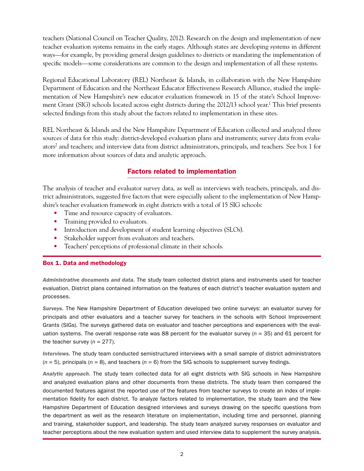ways—for example, by providing general design guidelines to districts or mandating the implementation of specific models—some considerations are common to the design and implementation of all these systems. teachers (National Council on Teacher Quality, 2012). Research on the design and implementation of new teacher evaluation systems remains in the early stages. Although states are developing systems in different

Regional Educational Laboratory (REL) Northeast & Islands, in collaboration with the New Hampshire Department of Education and the Northeast Educator Effectiveness Research Alliance, studied the implementation of New Hampshire's new educator evaluation framework in 15 of the state's School Improvement Grant (SIG) schools located across eight districts during the 2012/13 school year.<sup>1</sup> This brief presents selected findings from this study about the factors related to implementation in these sites.

REL Northeast & Islands and the New Hampshire Department of Education collected and analyzed three sources of data for this study: district-developed evaluation plans and instruments; survey data from evaluators2 and teachers; and interview data from district administrators, principals, and teachers. See box 1 for more information about sources of data and analytic approach.

# Factors related to implementation

The analysis of teacher and evaluator survey data, as well as interviews with teachers, principals, and district administrators, suggested five factors that were especially salient to the implementation of New Hampshire's teacher evaluation framework in eight districts with a total of 15 SIG schools:

- Time and resource capacity of evaluators.
- Training provided to evaluators.
- Introduction and development of student learning objectives (SLOs).
- Stakeholder support from evaluators and teachers.
- Teachers' perceptions of professional climate in their schools.

#### Box 1. Data and methodology

*Administrative documents and data.* The study team collected district plans and instruments used for teacher evaluation. District plans contained information on the features of each district's teacher evaluation system and processes.

*Surveys.* The New Hampshire Department of Education developed two online surveys: an evaluator survey for principals and other evaluators and a teacher survey for teachers in the schools with School Improvement Grants (SIGs). The surveys gathered data on evaluator and teacher perceptions and experiences with the evaluation systems. The overall response rate was 88 percent for the evaluator survey (*n* = 35) and 61 percent for the teacher survey  $(n = 277)$ .

*Interviews.* The study team conducted semistructured interviews with a small sample of district administrators (*n* = 5), principals (*n* = 8), and teachers (*n* = 6) from the SIG schools to supplement survey findings.

*Analytic approach.* The study team collected data for all eight districts with SIG schools in New Hampshire and analyzed evaluation plans and other documents from these districts. The study team then compared the documented features against the reported use of the features from teacher surveys to create an index of implementation fidelity for each district. To analyze factors related to implementation, the study team and the New Hampshire Department of Education designed interviews and surveys drawing on the specific questions from the department as well as the research literature on implementation, including time and personnel, planning and training, stakeholder support, and leadership. The study team analyzed survey responses on evaluator and teacher perceptions about the new evaluation system and used interview data to supplement the survey analysis.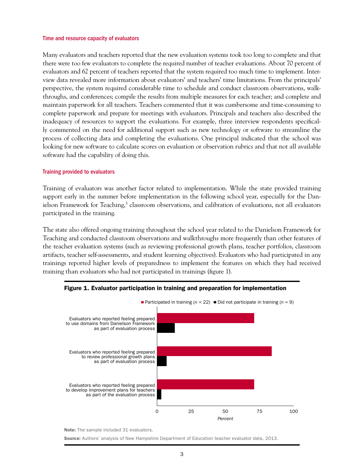#### Time and resource capacity of evaluators

Many evaluators and teachers reported that the new evaluation systems took too long to complete and that there were too few evaluators to complete the required number of teacher evaluations. About 70 percent of evaluators and 62 percent of teachers reported that the system required too much time to implement. Interview data revealed more information about evaluators' and teachers' time limitations. From the principals' perspective, the system required considerable time to schedule and conduct classroom observations, walkthroughs, and conferences; compile the results from multiple measures for each teacher; and complete and maintain paperwork for all teachers. Teachers commented that it was cumbersome and time-consuming to complete paperwork and prepare for meetings with evaluators. Principals and teachers also described the inadequacy of resources to support the evaluations. For example, three interview respondents specifically commented on the need for additional support such as new technology or software to streamline the process of collecting data and completing the evaluations. One principal indicated that the school was looking for new software to calculate scores on evaluation or observation rubrics and that not all available software had the capability of doing this.

#### Training provided to evaluators

Training of evaluators was another factor related to implementation. While the state provided training support early in the summer before implementation in the following school year, especially for the Danielson Framework for Teaching,<sup>3</sup> classroom observations, and calibration of evaluations, not all evaluators participated in the training.

The state also offered ongoing training throughout the school year related to the Danielson Framework for Teaching and conducted classroom observations and walkthroughs more frequently than other features of the teacher evaluation systems (such as reviewing professional growth plans, teacher portfolios, classroom artifacts, teacher self-assessments, and student learning objectives). Evaluators who had participated in any trainings reported higher levels of preparedness to implement the features on which they had received training than evaluators who had not participated in trainings (figure 1).





Note: The sample included 31 evaluators.

Source: Authors' analysis of New Hampshire Department of Education teacher evaluator data, 2013.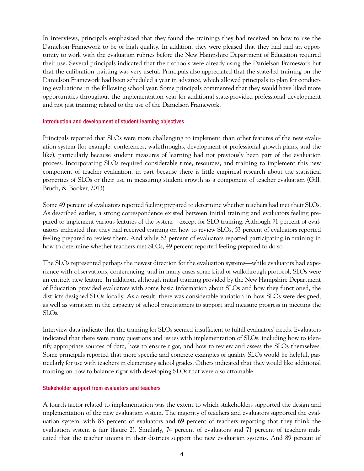In interviews, principals emphasized that they found the trainings they had received on how to use the Danielson Framework to be of high quality. In addition, they were pleased that they had had an opportunity to work with the evaluation rubrics before the New Hampshire Department of Education required their use. Several principals indicated that their schools were already using the Danielson Framework but that the calibration training was very useful. Principals also appreciated that the state-led training on the Danielson Framework had been scheduled a year in advance, which allowed principals to plan for conducting evaluations in the following school year. Some principals commented that they would have liked more opportunities throughout the implementation year for additional state-provided professional development and not just training related to the use of the Danielson Framework.

#### Introduction and development of student learning objectives

Principals reported that SLOs were more challenging to implement than other features of the new evaluation system (for example, conferences, walkthroughs, development of professional growth plans, and the like), particularly because student measures of learning had not previously been part of the evaluation process. Incorporating SLOs required considerable time, resources, and training to implement this new component of teacher evaluation, in part because there is little empirical research about the statistical properties of SLOs or their use in measuring student growth as a component of teacher evaluation (Gill, Bruch, & Booker, 2013).

 pared to implement various features of the system—except for SLO training. Although 71 percent of eval-Some 49 percent of evaluators reported feeling prepared to determine whether teachers had met their SLOs. As described earlier, a strong correspondence existed between initial training and evaluators feeling preuators indicated that they had received training on how to review SLOs, 53 percent of evaluators reported feeling prepared to review them. And while 62 percent of evaluators reported participating in training in how to determine whether teachers met SLOs, 49 percent reported feeling prepared to do so.

 The SLOs represented perhaps the newest direction for the evaluation systems—while evaluators had experience with observations, conferencing, and in many cases some kind of walkthrough protocol, SLOs were an entirely new feature. In addition, although initial training provided by the New Hampshire Department of Education provided evaluators with some basic information about SLOs and how they functioned, the districts designed SLOs locally. As a result, there was considerable variation in how SLOs were designed, as well as variation in the capacity of school practitioners to support and measure progress in meeting the SLOs.

Interview data indicate that the training for SLOs seemed insufficient to fulfill evaluators' needs. Evaluators indicated that there were many questions and issues with implementation of SLOs, including how to identify appropriate sources of data, how to ensure rigor, and how to review and assess the SLOs themselves. Some principals reported that more specific and concrete examples of quality SLOs would be helpful, particularly for use with teachers in elementary school grades. Others indicated that they would like additional training on how to balance rigor with developing SLOs that were also attainable.

#### Stakeholder support from evaluators and teachers

A fourth factor related to implementation was the extent to which stakeholders supported the design and implementation of the new evaluation system. The majority of teachers and evaluators supported the evaluation system, with 83 percent of evaluators and 69 percent of teachers reporting that they think the evaluation system is fair (figure 2). Similarly, 74 percent of evaluators and 71 percent of teachers indicated that the teacher unions in their districts support the new evaluation systems. And 89 percent of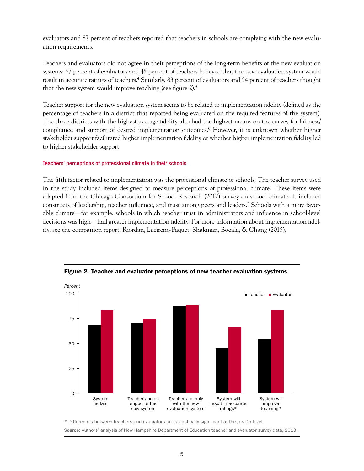evaluators and 87 percent of teachers reported that teachers in schools are complying with the new evaluation requirements.

Teachers and evaluators did not agree in their perceptions of the long-term benefits of the new evaluation systems: 67 percent of evaluators and 45 percent of teachers believed that the new evaluation system would result in accurate ratings of teachers.4 Similarly, 83 percent of evaluators and 54 percent of teachers thought that the new system would improve teaching (see figure 2).5

Teacher support for the new evaluation system seems to be related to implementation fidelity (defined as the percentage of teachers in a district that reported being evaluated on the required features of the system). The three districts with the highest average fidelity also had the highest means on the survey for fairness/ compliance and support of desired implementation outcomes.6 However, it is unknown whether higher stakeholder support facilitated higher implementation fidelity or whether higher implementation fidelity led to higher stakeholder support.

#### Teachers' perceptions of professional climate in their schools

 able climate—for example, schools in which teacher trust in administrators and influence in school-level decisions was high—had greater implementation fidelity. For more information about implementation fidel-The fifth factor related to implementation was the professional climate of schools. The teacher survey used in the study included items designed to measure perceptions of professional climate. These items were adapted from the Chicago Consortium for School Research (2012) survey on school climate. It included constructs of leadership, teacher influence, and trust among peers and leaders.7 Schools with a more favority, see the companion report, Riordan, Lacireno-Paquet, Shakman, Bocala, & Chang (2015).



Figure 2. Teacher and evaluator perceptions of new teacher evaluation systems

\* Differences between teachers and evaluators are statistically significant at the *p* <.05 level.

Source: Authors' analysis of New Hampshire Department of Education teacher and evaluator survey data, 2013.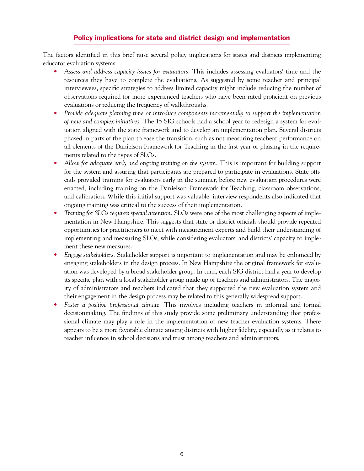## Policy implications for state and district design and implementation

The factors identified in this brief raise several policy implications for states and districts implementing educator evaluation systems:

- • *Assess and address capacity issues for evaluators.* This includes assessing evaluators' time and the resources they have to complete the evaluations. As suggested by some teacher and principal interviewees, specific strategies to address limited capacity might include reducing the number of observations required for more experienced teachers who have been rated proficient on previous evaluations or reducing the frequency of walkthroughs.
- Provide adequate planning time or introduce components incrementally to support the implementation *of new and complex initiatives.* The 15 SIG schools had a school year to redesign a system for evaluation aligned with the state framework and to develop an implementation plan. Several districts phased in parts of the plan to ease the transition, such as not measuring teachers' performance on all elements of the Danielson Framework for Teaching in the first year or phasing in the requirements related to the types of SLOs.
- Allow for adequate early and ongoing training on the system. This is important for building support for the system and assuring that participants are prepared to participate in evaluations. State officials provided training for evaluators early in the summer, before new evaluation procedures were enacted, including training on the Danielson Framework for Teaching, classroom observations, and calibration. While this initial support was valuable, interview respondents also indicated that ongoing training was critical to the success of their implementation.
- Training for SLOs requires special attention. SLOs were one of the most challenging aspects of implementation in New Hampshire. This suggests that state or district officials should provide repeated opportunities for practitioners to meet with measurement experts and build their understanding of implementing and measuring SLOs, while considering evaluators' and districts' capacity to implement these new measures.
- • *Engage stakeholders.* Stakeholder support is important to implementation and may be enhanced by engaging stakeholders in the design process. In New Hampshire the original framework for evaluation was developed by a broad stakeholder group. In turn, each SIG district had a year to develop its specific plan with a local stakeholder group made up of teachers and administrators. The majority of administrators and teachers indicated that they supported the new evaluation system and their engagement in the design process may be related to this generally widespread support.
- *Foster a positive professional climate*. This involves including teachers in informal and formal decisionmaking. The findings of this study provide some preliminary understanding that professional climate may play a role in the implementation of new teacher evaluation systems. There appears to be a more favorable climate among districts with higher fidelity, especially as it relates to teacher influence in school decisions and trust among teachers and administrators.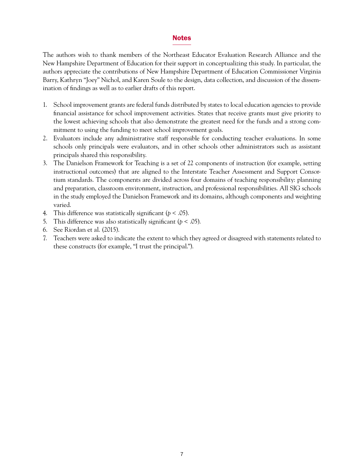#### Notes

The authors wish to thank members of the Northeast Educator Evaluation Research Alliance and the New Hampshire Department of Education for their support in conceptualizing this study. In particular, the authors appreciate the contributions of New Hampshire Department of Education Commissioner Virginia Barry, Kathryn "Joey" Nichol, and Karen Soule to the design, data collection, and discussion of the dissemination of findings as well as to earlier drafts of this report.

- 1. School improvement grants are federal funds distributed by states to local education agencies to provide financial assistance for school improvement activities. States that receive grants must give priority to the lowest achieving schools that also demonstrate the greatest need for the funds and a strong commitment to using the funding to meet school improvement goals.
- 2. Evaluators include any administrative staff responsible for conducting teacher evaluations. In some schools only principals were evaluators, and in other schools other administrators such as assistant principals shared this responsibility.
- 3. The Danielson Framework for Teaching is a set of 22 components of instruction (for example, setting instructional outcomes) that are aligned to the Interstate Teacher Assessment and Support Consortium standards. The components are divided across four domains of teaching responsibility: planning and preparation, classroom environment, instruction, and professional responsibilities. All SIG schools in the study employed the Danielson Framework and its domains, although components and weighting varied.
- 4. This difference was statistically significant ( $p < .05$ ).
- 5. This difference was also statistically significant ( $p < .05$ ).
- 6. See Riordan et al. (2015).
- 7. Teachers were asked to indicate the extent to which they agreed or disagreed with statements related to these constructs (for example, "I trust the principal.").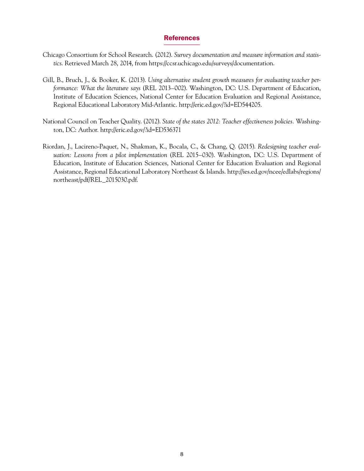#### References

- Chicago Consortium for School Research. (2012). *Survey documentation and measure information and statistics*. Retrieved March 28, 2014, from<https://ccsr.uchicago.edu/surveys/documentation>.
- Gill, B., Bruch, J., & Booker, K. (2013). *Using alternative student growth measures for evaluating teacher performance: What the literature says* (REL 2013–002). Washington, DC: U.S. Department of Education, Institute of Education Sciences, National Center for Education Evaluation and Regional Assistance, Regional Educational Laboratory Mid-Atlantic. [http://eric.ed.gov/?id=ED544205.](http://eric.ed.gov/?id=ED544205)
- National Council on Teacher Quality. (2012). *State of the states 2012: Teacher effectiveness policies.* Washington, DC: Author. <http://eric.ed.gov/?id=ED536371>
- Riordan, J., Lacireno-Paquet, N., Shakman, K., Bocala, C., & Chang, Q. (2015). *Redesigning teacher evaluation: Lessons from a pilot implementation* (REL 2015–030). Washington, DC: U.S. Department of Education, Institute of Education Sciences, National Center for Education Evaluation and Regional Assistance, Regional Educational Laboratory Northeast & Islands. [http://ies.ed.gov/ncee/edlabs/regions/](http://ies.ed.gov/ncee/edlabs/regions/northeast/pdf/REL_2015030.pdf)  [northeast/pdf/REL\\_2015030.pdf.](http://ies.ed.gov/ncee/edlabs/regions/northeast/pdf/REL_2015030.pdf)